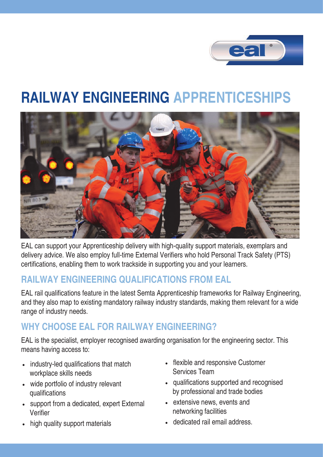

## **RAILWAY ENGINEERING APPRENTICESHIPS**



EAL can support your Apprenticeship delivery with high-quality support materials, exemplars and delivery advice. We also employ full-time External Verifiers who hold Personal Track Safety (PTS) certifications, enabling them to work trackside in supporting you and your learners.

## **RAILWAY ENGINEERING QUALIFICATIONS FROM EAL**

EAL rail qualifications feature in the latest Semta Apprenticeship frameworks for Railway Engineering, and they also map to existing mandatory railway industry standards, making them relevant for a wide range of industry needs.

## **WHY CHOOSE EAL FOR RAILWAY ENGINEERING?**

EAL is the specialist, employer recognised awarding organisation for the engineering sector. This means having access to:

- industry-led qualifications that match workplace skills needs
- wide portfolio of industry relevant qualifications
- support from a dedicated, expert External Verifier
- high quality support materials
- flexible and responsive Customer Services Team
- qualifications supported and recognised by professional and trade bodies
- extensive news, events and networking facilities
- dedicated rail email address.